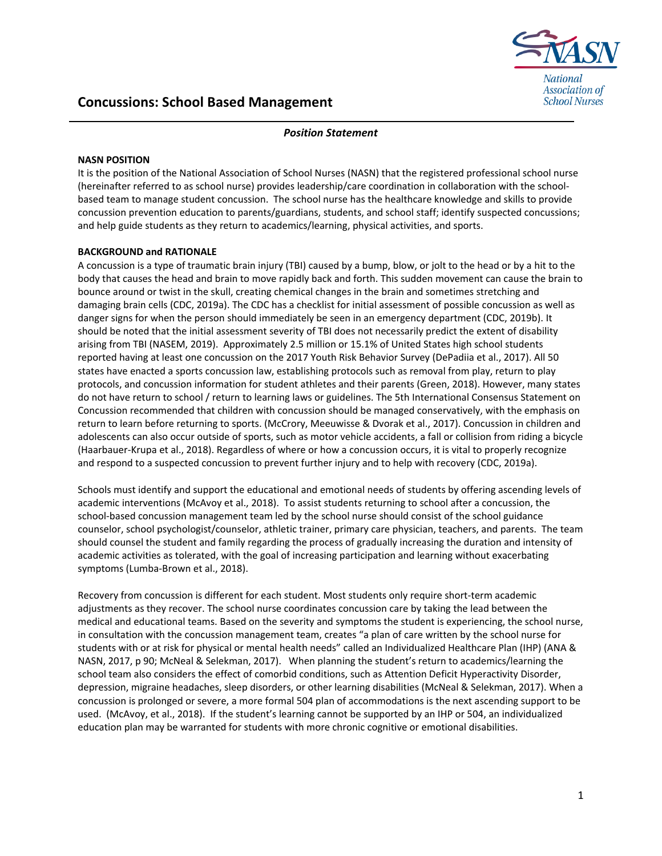

# **Concussions: School Based Management**

## *Position Statement*

### **NASN POSITION**

It is the position of the National Association of School Nurses (NASN) that the registered professional school nurse (hereinafter referred to as school nurse) provides leadership/care coordination in collaboration with the schoolbased team to manage student concussion. The school nurse has the healthcare knowledge and skills to provide concussion prevention education to parents/guardians, students, and school staff; identify suspected concussions; and help guide students as they return to academics/learning, physical activities, and sports.

## **BACKGROUND and RATIONALE**

A concussion is a type of traumatic brain injury (TBI) caused by a bump, blow, or jolt to the head or by a hit to the body that causes the head and brain to move rapidly back and forth. This sudden movement can cause the brain to bounce around or twist in the skull, creating chemical changes in the brain and sometimes stretching and damaging brain cells (CDC, 2019a). The CDC has a checklist for initial assessment of possible concussion as well as danger signs for when the person should immediately be seen in an emergency department (CDC, 2019b). It should be noted that the initial assessment severity of TBI does not necessarily predict the extent of disability arising from TBI (NASEM, 2019). Approximately 2.5 million or 15.1% of United States high school students reported having at least one concussion on the 2017 Youth Risk Behavior Survey (DePadiia et al., 2017). All 50 states have enacted a sports concussion law, establishing protocols such as removal from play, return to play protocols, and concussion information for student athletes and their parents (Green, 2018). However, many states do not have return to school / return to learning laws or guidelines. The 5th International Consensus Statement on Concussion recommended that children with concussion should be managed conservatively, with the emphasis on return to learn before returning to sports. (McCrory, Meeuwisse & Dvorak et al., 2017). Concussion in children and adolescents can also occur outside of sports, such as motor vehicle accidents, a fall or collision from riding a bicycle (Haarbauer-Krupa et al., 2018). Regardless of where or how a concussion occurs, it is vital to properly recognize and respond to a suspected concussion to prevent further injury and to help with recovery (CDC, 2019a).

Schools must identify and support the educational and emotional needs of students by offering ascending levels of academic interventions (McAvoy et al., 2018). To assist students returning to school after a concussion, the school-based concussion management team led by the school nurse should consist of the school guidance counselor, school psychologist/counselor, athletic trainer, primary care physician, teachers, and parents. The team should counsel the student and family regarding the process of gradually increasing the duration and intensity of academic activities as tolerated, with the goal of increasing participation and learning without exacerbating symptoms (Lumba-Brown et al., 2018).

Recovery from concussion is different for each student. Most students only require short-term academic adjustments as they recover. The school nurse coordinates concussion care by taking the lead between the medical and educational teams. Based on the severity and symptoms the student is experiencing, the school nurse, in consultation with the concussion management team, creates "a plan of care written by the school nurse for students with or at risk for physical or mental health needs" called an Individualized Healthcare Plan (IHP) (ANA & NASN, 2017, p 90; McNeal & Selekman, 2017). When planning the student's return to academics/learning the school team also considers the effect of comorbid conditions, such as Attention Deficit Hyperactivity Disorder, depression, migraine headaches, sleep disorders, or other learning disabilities (McNeal & Selekman, 2017). When a concussion is prolonged or severe, a more formal 504 plan of accommodations is the next ascending support to be used. (McAvoy, et al., 2018). If the student's learning cannot be supported by an IHP or 504, an individualized education plan may be warranted for students with more chronic cognitive or emotional disabilities.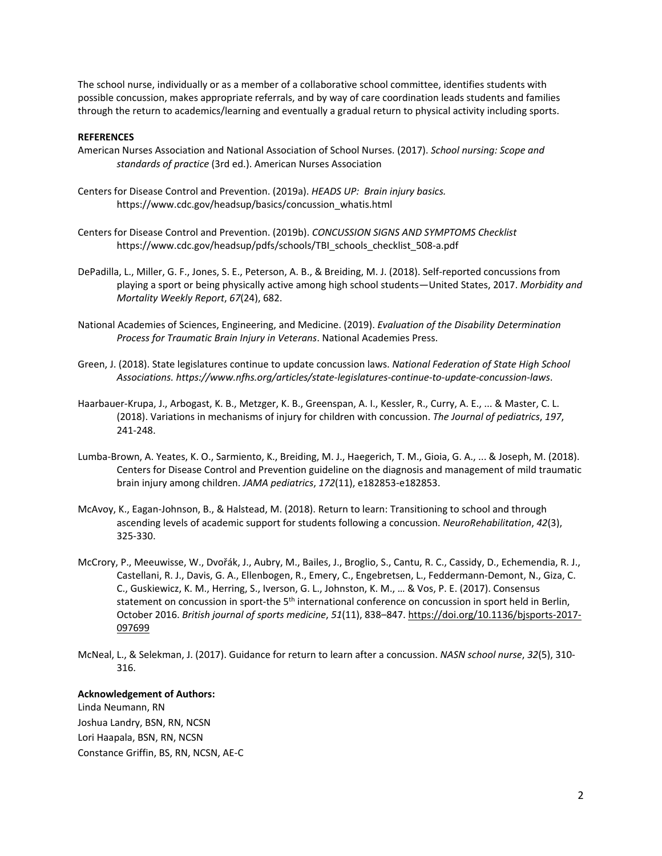The school nurse, individually or as a member of a collaborative school committee, identifies students with possible concussion, makes appropriate referrals, and by way of care coordination leads students and families through the return to academics/learning and eventually a gradual return to physical activity including sports.

#### **REFERENCES**

- American Nurses Association and National Association of School Nurses. (2017). *School nursing: Scope and standards of practice* (3rd ed.). American Nurses Association
- [Centers for Disease Control and Prevention.](http://www.cdc.gov/) (2019a). *HEADS UP: Brain injury basics.* [https://www.cdc.gov/headsup/basics/concussion\\_whatis.html](https://www.cdc.gov/headsup/basics/concussion_whatis.html)
- [Centers for Disease Control and Prevention.](http://www.cdc.gov/) (2019b). *CONCUSSION SIGNS AND SYMPTOMS Checklist*  https://www.cdc.gov/headsup/pdfs/schools/TBI\_schools\_checklist\_508-a.pdf
- DePadilla, L., Miller, G. F., Jones, S. E., Peterson, A. B., & Breiding, M. J. (2018). Self-reported concussions from playing a sport or being physically active among high school students—United States, 2017. *Morbidity and Mortality Weekly Report*, *67*(24), 682.
- National Academies of Sciences, Engineering, and Medicine. (2019). *Evaluation of the Disability Determination Process for Traumatic Brain Injury in Veterans*. National Academies Press.
- Green, J. (2018). State legislatures continue to update concussion laws. *National Federation of State High School Associations. https://www.nfhs.org/articles/state-legislatures-continue-to-update-concussion-laws*.
- Haarbauer-Krupa, J., Arbogast, K. B., Metzger, K. B., Greenspan, A. I., Kessler, R., Curry, A. E., ... & Master, C. L. (2018). Variations in mechanisms of injury for children with concussion. *The Journal of pediatrics*, *197*, 241-248.
- Lumba-Brown, A. Yeates, K. O., Sarmiento, K., Breiding, M. J., Haegerich, T. M., Gioia, G. A., ... & Joseph, M. (2018). Centers for Disease Control and Prevention guideline on the diagnosis and management of mild traumatic brain injury among children. *JAMA pediatrics*, *172*(11), e182853-e182853.
- McAvoy, K., Eagan-Johnson, B., & Halstead, M. (2018). Return to learn: Transitioning to school and through ascending levels of academic support for students following a concussion. *NeuroRehabilitation*, *42*(3), 325-330.
- McCrory, P., Meeuwisse, W., Dvořák, J., Aubry, M., Bailes, J., Broglio, S., Cantu, R. C., Cassidy, D., Echemendia, R. J., Castellani, R. J., Davis, G. A., Ellenbogen, R., Emery, C., Engebretsen, L., Feddermann-Demont, N., Giza, C. C., Guskiewicz, K. M., Herring, S., Iverson, G. L., Johnston, K. M., … & Vos, P. E. (2017). Consensus statement on concussion in sport-the 5<sup>th</sup> international conference on concussion in sport held in Berlin, October 2016. *British journal of sports medicine*, *51*(11), 838–847[. https://doi.org/10.1136/bjsports-2017-](https://doi.org/10.1136/bjsports-2017-097699) [097699](https://doi.org/10.1136/bjsports-2017-097699)
- McNeal, L., & Selekman, J. (2017). Guidance for return to learn after a concussion. *NASN school nurse*, *32*(5), 310- 316.

#### **Acknowledgement of Authors:**

Linda Neumann, RN Joshua Landry, BSN, RN, NCSN Lori Haapala, BSN, RN, NCSN Constance Griffin, BS, RN, NCSN, AE-C